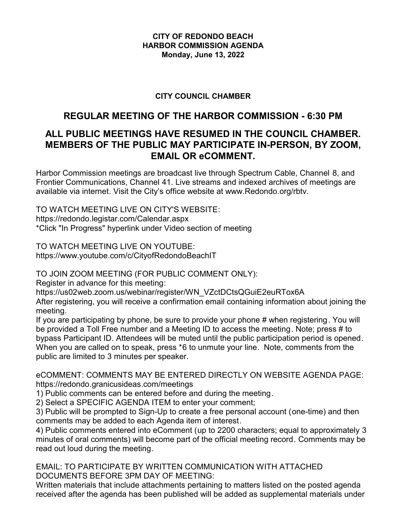### **CITY OF REDONDO BEACH HARBOR COMMISSION AGENDA Monday, June 13, 2022**

### **CITY COUNCIL CHAMBER**

# **REGULAR MEETING OF THE HARBOR COMMISSION - 6:30 PM**

# **ALL PUBLIC MEETINGS HAVE RESUMED IN THE COUNCIL CHAMBER. MEMBERS OF THE PUBLIC MAY PARTICIPATE IN-PERSON, BY ZOOM, EMAIL OR eCOMMENT.**

Harbor Commission meetings are broadcast live through Spectrum Cable, Channel 8, and Frontier Communications, Channel 41. Live streams and indexed archives of meetings are available via internet. Visit the City's office website at www.Redondo.org/rbtv.

TO WATCH MEETING LIVE ON CITY'S WEBSITE: https://redondo.legistar.com/Calendar.aspx \*Click "In Progress" hyperlink under Video section of meeting

TO WATCH MEETING LIVE ON YOUTUBE: https://www.youtube.com/c/CityofRedondoBeachIT

TO JOIN ZOOM MEETING (FOR PUBLIC COMMENT ONLY):

Register in advance for this meeting:

https://us02web.zoom.us/webinar/register/WN\_VZctDCtsQGuiE2euRTox6A

After registering, you will receive a confirmation email containing information about joining the meeting.

If you are participating by phone, be sure to provide your phone # when registering. You will be provided a Toll Free number and a Meeting ID to access the meeting. Note; press # to bypass Participant ID. Attendees will be muted until the public participation period is opened. When you are called on to speak, press \*6 to unmute your line. Note, comments from the public are limited to 3 minutes per speaker.

eCOMMENT: COMMENTS MAY BE ENTERED DIRECTLY ON WEBSITE AGENDA PAGE: https://redondo.granicusideas.com/meetings

1) Public comments can be entered before and during the meeting.

2) Select a SPECIFIC AGENDA ITEM to enter your comment;

3) Public will be prompted to Sign-Up to create a free personal account (one-time) and then comments may be added to each Agenda item of interest.

4) Public comments entered into eComment (up to 2200 characters; equal to approximately 3 minutes of oral comments) will become part of the official meeting record. Comments may be read out loud during the meeting.

EMAIL: TO PARTICIPATE BY WRITTEN COMMUNICATION WITH ATTACHED DOCUMENTS BEFORE 3PM DAY OF MEETING:

Written materials that include attachments pertaining to matters listed on the posted agenda received after the agenda has been published will be added as supplemental materials under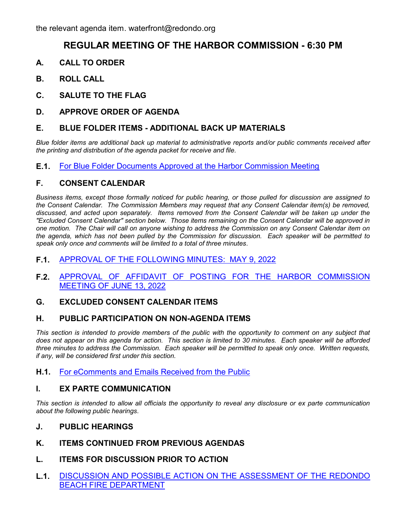## **REGULAR MEETING OF THE HARBOR COMMISSION - 6:30 PM**

- **A. CALL TO ORDER**
- **B. ROLL CALL**
- **C. SALUTE TO THE FLAG**
- **D. APPROVE ORDER OF AGENDA**

### **E. BLUE FOLDER ITEMS - ADDITIONAL BACK UP MATERIALS**

*Blue folder items are additional back up material to administrative reports and/or public comments received after the printing and distribution of the agenda packet for receive and file.*

#### **E.1.** [For Blue Folder Documents Approved at the Harbor Commission Meeting](http://redondo.legistar.com/gateway.aspx?m=l&id=/matter.aspx?key=5767)

### **F. CONSENT CALENDAR**

*Business items, except those formally noticed for public hearing, or those pulled for discussion are assigned to the Consent Calendar. The Commission Members may request that any Consent Calendar item(s) be removed, discussed, and acted upon separately. Items removed from the Consent Calendar will be taken up under the "Excluded Consent Calendar" section below. Those items remaining on the Consent Calendar will be approved in one motion. The Chair will call on anyone wishing to address the Commission on any Consent Calendar item on the agenda, which has not been pulled by the Commission for discussion. Each speaker will be permitted to speak only once and comments will be limited to a total of three minutes.*

#### **F.1.** [APPROVAL OF THE FOLLOWING MINUTES: MAY 9, 2022](http://redondo.legistar.com/gateway.aspx?m=l&id=/matter.aspx?key=5765)

**F.2.** [APPROVAL OF AFFIDAVIT OF POSTING FOR THE HARBOR COMMISSION](http://redondo.legistar.com/gateway.aspx?m=l&id=/matter.aspx?key=5766) MEETING OF JUNE 13, 2022

#### **G. EXCLUDED CONSENT CALENDAR ITEMS**

#### **H. PUBLIC PARTICIPATION ON NON-AGENDA ITEMS**

This section is intended to provide members of the public with the opportunity to comment on any subject that *does not appear on this agenda for action. This section is limited to 30 minutes. Each speaker will be afforded three minutes to address the Commission. Each speaker will be permitted to speak only once. Written requests, if any, will be considered first under this section.*

#### **H.1.** [For eComments and Emails Received from the Public](http://redondo.legistar.com/gateway.aspx?m=l&id=/matter.aspx?key=5763)

#### **I. EX PARTE COMMUNICATION**

*This section is intended to allow all officials the opportunity to reveal any disclosure or ex parte communication about the following public hearings.*

- **J. PUBLIC HEARINGS**
- **K. ITEMS CONTINUED FROM PREVIOUS AGENDAS**

#### **L. ITEMS FOR DISCUSSION PRIOR TO ACTION**

**L.1.** [DISCUSSION AND POSSIBLE ACTION ON THE ASSESSMENT OF THE REDONDO](http://redondo.legistar.com/gateway.aspx?m=l&id=/matter.aspx?key=5854) BEACH FIRE DEPARTMENT